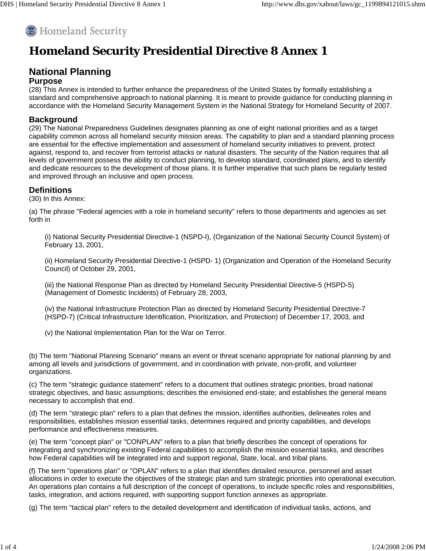

## **Homeland Security Presidential Directive 8 Annex 1**

# **National Planning**

### **Purpose**

(28) This Annex is intended to further enhance the preparedness of the United States by formally establishing a standard and comprehensive approach to national planning. It is meant to provide guidance for conducting planning in accordance with the Homeland Security Management System in the National Strategy for Homeland Security of 2007.

#### **Background**

(29) The National Preparedness Guidelines designates planning as one of eight national priorities and as a target capability common across all homeland security mission areas. The capability to plan and a standard planning process are essential for the effective implementation and assessment of homeland security initiatives to prevent, protect against, respond to, and recover from terrorist attacks or natural disasters. The security of the Nation requires that all levels of government possess the ability to conduct planning, to develop standard, coordinated plans, and to identify and dedicate resources to the development of those plans. It is further imperative that such plans be regularly tested and improved through an inclusive and open process.

#### **Definitions**

(30) In this Annex:

(a) The phrase "Federal agencies with a role in homeland security" refers to those departments and agencies as set forth in

(i) National Security Presidential Directive-1 (NSPD-I), (Organization of the National Security Council System) of February 13, 2001,

(ii) Homeland Security Presidential Directive-1 (HSPD- 1) (Organization and Operation of the Homeland Security Council) of October 29, 2001,

(iii) the National Response Plan as directed by Homeland Security Presidential Directive-5 (HSPD-5) (Management of Domestic Incidents) of February 28, 2003,

(iv) the National Infrastructure Protection Plan as directed by Homeland Security Presidential Directive-7 (HSPD-7) (Critical Infrastructure Identification, Prioritization, and Protection) of December 17, 2003, and

(v) the National Implementation Plan for the War on Terror.

(b) The term "National Planning Scenario" means an event or threat scenario appropriate for national planning by and among all levels and jurisdictions of government, and in coordination with private, non-profit, and volunteer organizations.

(c) The term "strategic guidance statement" refers to a document that outlines strategic priorities, broad national strategic objectives, and basic assumptions; describes the envisioned end-state; and establishes the general means necessary to accomplish that end.

(d) The term "strategic plan" refers to a plan that defines the mission, identifies authorities, delineates roles and responsibilities, establishes mission essential tasks, determines required and priority capabilities, and develops performance and effectiveness measures.

(e) The term "concept plan" or "CONPLAN" refers to a plan that briefly describes the concept of operations for integrating and synchronizing existing Federal capabilities to accomplish the mission essential tasks, and describes how Federal capabilities will be integrated into and support regional, State, local, and tribal plans.

(f) The term "operations plan" or "OPLAN" refers to a plan that identifies detailed resource, personnel and asset allocations in order to execute the objectives of the strategic plan and turn strategic priorities into operational execution. An operations plan contains a full description of the concept of operations, to include specific roles and responsibilities, tasks, integration, and actions required, with supporting support function annexes as appropriate.

(g) The term "tactical plan" refers to the detailed development and identification of individual tasks, actions, and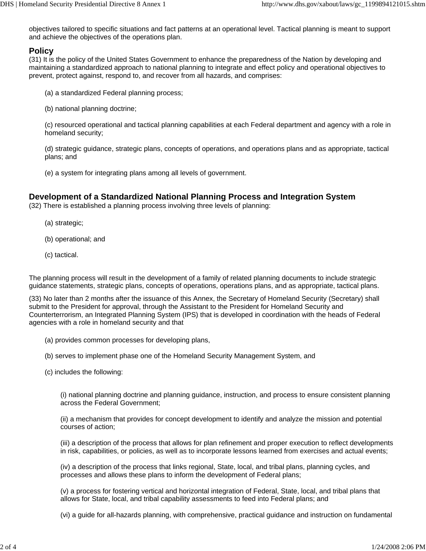objectives tailored to specific situations and fact patterns at an operational level. Tactical planning is meant to support and achieve the objectives of the operations plan.

#### **Policy**

(31) It is the policy of the United States Government to enhance the preparedness of the Nation by developing and maintaining a standardized approach to national planning to integrate and effect policy and operational objectives to prevent, protect against, respond to, and recover from all hazards, and comprises:

- (a) a standardized Federal planning process;
- (b) national planning doctrine;

(c) resourced operational and tactical planning capabilities at each Federal department and agency with a role in homeland security;

(d) strategic guidance, strategic plans, concepts of operations, and operations plans and as appropriate, tactical plans; and

(e) a system for integrating plans among all levels of government.

#### **Development of a Standardized National Planning Process and Integration System**

(32) There is established a planning process involving three levels of planning:

- (a) strategic;
- (b) operational; and
- (c) tactical.

The planning process will result in the development of a family of related planning documents to include strategic guidance statements, strategic plans, concepts of operations, operations plans, and as appropriate, tactical plans.

(33) No later than 2 months after the issuance of this Annex, the Secretary of Homeland Security (Secretary) shall submit to the President for approval, through the Assistant to the President for Homeland Security and Counterterrorism, an Integrated Planning System (IPS) that is developed in coordination with the heads of Federal agencies with a role in homeland security and that

- (a) provides common processes for developing plans,
- (b) serves to implement phase one of the Homeland Security Management System, and
- (c) includes the following:

(i) national planning doctrine and planning guidance, instruction, and process to ensure consistent planning across the Federal Government;

(ii) a mechanism that provides for concept development to identify and analyze the mission and potential courses of action;

(iii) a description of the process that allows for plan refinement and proper execution to reflect developments in risk, capabilities, or policies, as well as to incorporate lessons learned from exercises and actual events;

(iv) a description of the process that links regional, State, local, and tribal plans, planning cycles, and processes and allows these plans to inform the development of Federal plans;

(v) a process for fostering vertical and horizontal integration of Federal, State, local, and tribal plans that allows for State, local, and tribal capability assessments to feed into Federal plans; and

(vi) a guide for all-hazards planning, with comprehensive, practical guidance and instruction on fundamental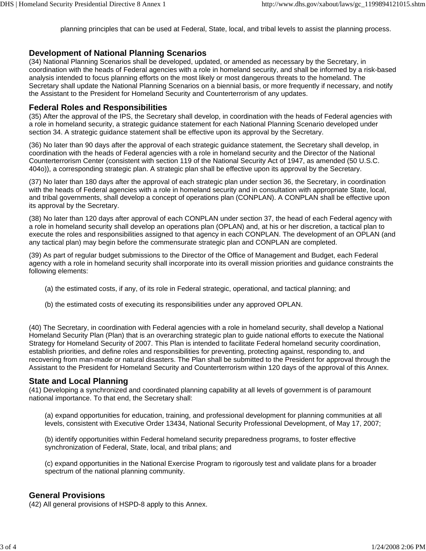planning principles that can be used at Federal, State, local, and tribal levels to assist the planning process.

#### **Development of National Planning Scenarios**

(34) National Planning Scenarios shall be developed, updated, or amended as necessary by the Secretary, in coordination with the heads of Federal agencies with a role in homeland security, and shall be informed by a risk-based analysis intended to focus planning efforts on the most likely or most dangerous threats to the homeland. The Secretary shall update the National Planning Scenarios on a biennial basis, or more frequently if necessary, and notify the Assistant to the President for Homeland Security and Counterterrorism of any updates.

#### **Federal Roles and Responsibilities**

(35) After the approval of the IPS, the Secretary shall develop, in coordination with the heads of Federal agencies with a role in homeland security, a strategic guidance statement for each National Planning Scenario developed under section 34. A strategic guidance statement shall be effective upon its approval by the Secretary.

(36) No later than 90 days after the approval of each strategic guidance statement, the Secretary shall develop, in coordination with the heads of Federal agencies with a role in homeland security and the Director of the National Counterterrorism Center (consistent with section 119 of the National Security Act of 1947, as amended (50 U.S.C. 404o)), a corresponding strategic plan. A strategic plan shall be effective upon its approval by the Secretary.

(37) No later than 180 days after the approval of each strategic plan under section 36, the Secretary, in coordination with the heads of Federal agencies with a role in homeland security and in consultation with appropriate State, local, and tribal governments, shall develop a concept of operations plan (CONPLAN). A CONPLAN shall be effective upon its approval by the Secretary.

(38) No later than 120 days after approval of each CONPLAN under section 37, the head of each Federal agency with a role in homeland security shall develop an operations plan (OPLAN) and, at his or her discretion, a tactical plan to execute the roles and responsibilities assigned to that agency in each CONPLAN. The development of an OPLAN (and any tactical plan) may begin before the commensurate strategic plan and CONPLAN are completed.

(39) As part of regular budget submissions to the Director of the Office of Management and Budget, each Federal agency with a role in homeland security shall incorporate into its overall mission priorities and guidance constraints the following elements:

- (a) the estimated costs, if any, of its role in Federal strategic, operational, and tactical planning; and
- (b) the estimated costs of executing its responsibilities under any approved OPLAN.

(40) The Secretary, in coordination with Federal agencies with a role in homeland security, shall develop a National Homeland Security Plan (Plan) that is an overarching strategic plan to guide national efforts to execute the National Strategy for Homeland Security of 2007. This Plan is intended to facilitate Federal homeland security coordination, establish priorities, and define roles and responsibilities for preventing, protecting against, responding to, and recovering from man-made or natural disasters. The Plan shall be submitted to the President for approval through the Assistant to the President for Homeland Security and Counterterrorism within 120 days of the approval of this Annex.

#### **State and Local Planning**

(41) Developing a synchronized and coordinated planning capability at all levels of government is of paramount national importance. To that end, the Secretary shall:

(a) expand opportunities for education, training, and professional development for planning communities at all levels, consistent with Executive Order 13434, National Security Professional Development, of May 17, 2007;

(b) identify opportunities within Federal homeland security preparedness programs, to foster effective synchronization of Federal, State, local, and tribal plans; and

(c) expand opportunities in the National Exercise Program to rigorously test and validate plans for a broader spectrum of the national planning community.

#### **General Provisions**

(42) All general provisions of HSPD-8 apply to this Annex.